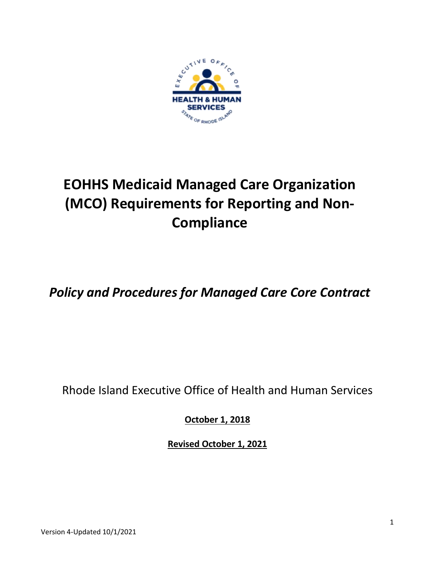

# **EOHHS Medicaid Managed Care Organization (MCO) Requirements for Reporting and Non-Compliance**

*Policy and Procedures for Managed Care Core Contract*

Rhode Island Executive Office of Health and Human Services

**October 1, 2018**

**Revised October 1, 2021**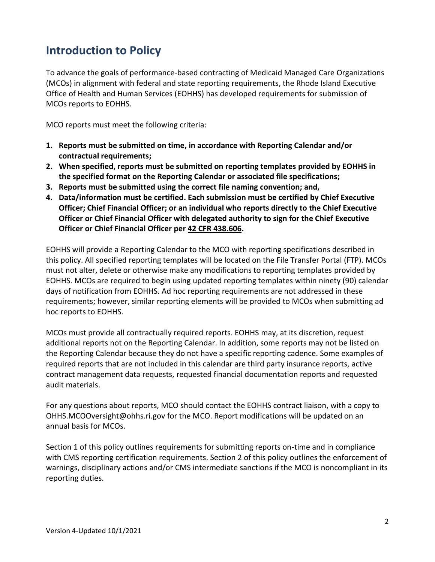## **Introduction to Policy**

To advance the goals of performance-based contracting of Medicaid Managed Care Organizations (MCOs) in alignment with federal and state reporting requirements, the Rhode Island Executive Office of Health and Human Services (EOHHS) has developed requirements for submission of MCOs reports to EOHHS.

MCO reports must meet the following criteria:

- **1. Reports must be submitted on time, in accordance with Reporting Calendar and/or contractual requirements;**
- **2. When specified, reports must be submitted on reporting templates provided by EOHHS in the specified format on the Reporting Calendar or associated file specifications;**
- **3. Reports must be submitted using the correct file naming convention; and,**
- **4. Data/information must be certified. Each submission must be certified by Chief Executive Officer; Chief Financial Officer; or an individual who reports directly to the Chief Executive Officer or Chief Financial Officer with delegated authority to sign for the Chief Executive Officer or Chief Financial Officer per [42 CFR 438.606.](https://www.gpo.gov/fdsys/pkg/CFR-2011-title42-vol4/pdf/CFR-2011-title42-vol4-part438.pdf)**

EOHHS will provide a Reporting Calendar to the MCO with reporting specifications described in this policy. All specified reporting templates will be located on the File Transfer Portal (FTP). MCOs must not alter, delete or otherwise make any modifications to reporting templates provided by EOHHS. MCOs are required to begin using updated reporting templates within ninety (90) calendar days of notification from EOHHS. Ad hoc reporting requirements are not addressed in these requirements; however, similar reporting elements will be provided to MCOs when submitting ad hoc reports to EOHHS.

MCOs must provide all contractually required reports. EOHHS may, at its discretion, request additional reports not on the Reporting Calendar. In addition, some reports may not be listed on the Reporting Calendar because they do not have a specific reporting cadence. Some examples of required reports that are not included in this calendar are third party insurance reports, active contract management data requests, requested financial documentation reports and requested audit materials.

For any questions about reports, MCO should contact the EOHHS contract liaison, with a copy to OHHS.MCOOversight@ohhs.ri.gov for the MCO. Report modifications will be updated on an annual basis for MCOs.

Section 1 of this policy outlines requirements for submitting reports on-time and in compliance with CMS reporting certification requirements. Section 2 of this policy outlines the enforcement of warnings, disciplinary actions and/or CMS intermediate sanctions if the MCO is noncompliant in its reporting duties.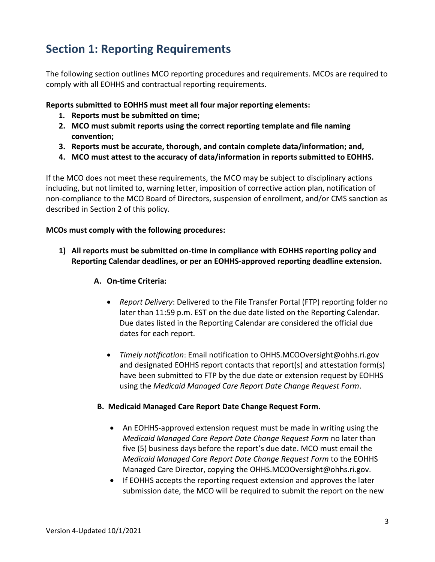## **Section 1: Reporting Requirements**

The following section outlines MCO reporting procedures and requirements. MCOs are required to comply with all EOHHS and contractual reporting requirements.

**Reports submitted to EOHHS must meet all four major reporting elements:**

- **1. Reports must be submitted on time;**
- **2. MCO must submit reports using the correct reporting template and file naming convention;**
- **3. Reports must be accurate, thorough, and contain complete data/information; and,**
- **4. MCO must attest to the accuracy of data/information in reports submitted to EOHHS.**

If the MCO does not meet these requirements, the MCO may be subject to disciplinary actions including, but not limited to, warning letter, imposition of corrective action plan, notification of non-compliance to the MCO Board of Directors, suspension of enrollment, and/or CMS sanction as described in Section 2 of this policy.

#### **MCOs must comply with the following procedures:**

**1) All reports must be submitted on-time in compliance with EOHHS reporting policy and Reporting Calendar deadlines, or per an EOHHS-approved reporting deadline extension.** 

#### **A. On-time Criteria:**

- *Report Delivery*: Delivered to the File Transfer Portal (FTP) reporting folder no later than 11:59 p.m. EST on the due date listed on the Reporting Calendar. Due dates listed in the Reporting Calendar are considered the official due dates for each report.
- *Timely notification*: Email notification to OHHS.MCOOversight@ohhs.ri.gov and designated EOHHS report contacts that report(s) and attestation form(s) have been submitted to FTP by the due date or extension request by EOHHS using the *Medicaid Managed Care Report Date Change Request Form*.

#### **B. Medicaid Managed Care Report Date Change Request Form.**

- An EOHHS-approved extension request must be made in writing using the *Medicaid Managed Care Report Date Change Request Form* no later than five (5) business days before the report's due date. MCO must email the *Medicaid Managed Care Report Date Change Request Form* to the EOHHS Managed Care Director, copying the OHHS.MCOOversight@ohhs.ri.gov.
- If EOHHS accepts the reporting request extension and approves the later submission date, the MCO will be required to submit the report on the new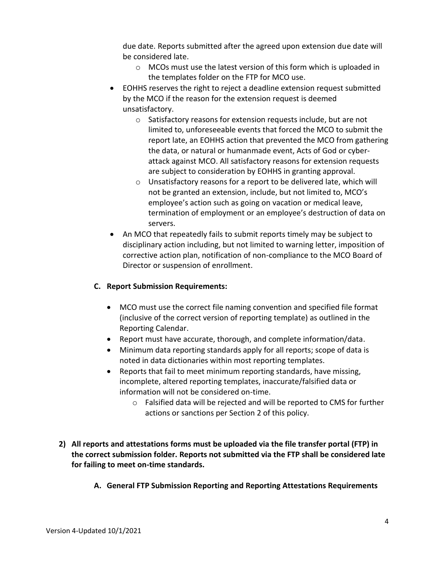due date. Reports submitted after the agreed upon extension due date will be considered late.

- o MCOs must use the latest version of this form which is uploaded in the templates folder on the FTP for MCO use.
- EOHHS reserves the right to reject a deadline extension request submitted by the MCO if the reason for the extension request is deemed unsatisfactory.
	- o Satisfactory reasons for extension requests include, but are not limited to, unforeseeable events that forced the MCO to submit the report late, an EOHHS action that prevented the MCO from gathering the data, or natural or humanmade event, Acts of God or cyberattack against MCO. All satisfactory reasons for extension requests are subject to consideration by EOHHS in granting approval.
	- o Unsatisfactory reasons for a report to be delivered late, which will not be granted an extension, include, but not limited to, MCO's employee's action such as going on vacation or medical leave, termination of employment or an employee's destruction of data on servers.
- An MCO that repeatedly fails to submit reports timely may be subject to disciplinary action including, but not limited to warning letter, imposition of corrective action plan, notification of non-compliance to the MCO Board of Director or suspension of enrollment.

#### **C. Report Submission Requirements:**

- MCO must use the correct file naming convention and specified file format (inclusive of the correct version of reporting template) as outlined in the Reporting Calendar.
- Report must have accurate, thorough, and complete information/data.
- Minimum data reporting standards apply for all reports; scope of data is noted in data dictionaries within most reporting templates.
- Reports that fail to meet minimum reporting standards, have missing, incomplete, altered reporting templates, inaccurate/falsified data or information will not be considered on-time.
	- $\circ$  Falsified data will be rejected and will be reported to CMS for further actions or sanctions per Section 2 of this policy.
- **2) All reports and attestations forms must be uploaded via the file transfer portal (FTP) in the correct submission folder. Reports not submitted via the FTP shall be considered late for failing to meet on-time standards.**
	- **A. General FTP Submission Reporting and Reporting Attestations Requirements**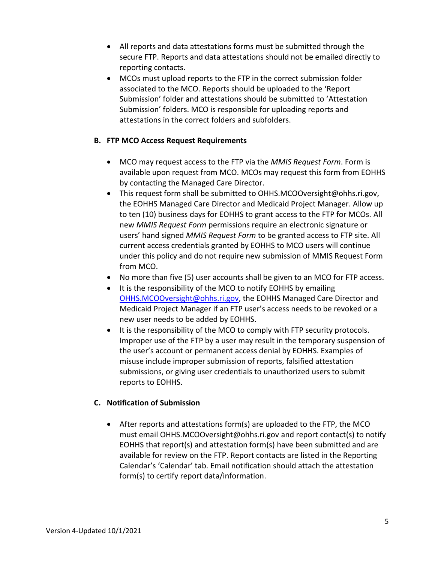- All reports and data attestations forms must be submitted through the secure FTP. Reports and data attestations should not be emailed directly to reporting contacts.
- MCOs must upload reports to the FTP in the correct submission folder associated to the MCO. Reports should be uploaded to the 'Report Submission' folder and attestations should be submitted to 'Attestation Submission' folders. MCO is responsible for uploading reports and attestations in the correct folders and subfolders.

#### **B. FTP MCO Access Request Requirements**

- MCO may request access to the FTP via the *MMIS Request Form*. Form is available upon request from MCO. MCOs may request this form from EOHHS by contacting the Managed Care Director.
- This request form shall be submitted to [OHHS.MCOOversight@ohhs.ri.gov,](mailto:OHHS.MCOOversight@ohhs.ri.gov) the EOHHS Managed Care Director and Medicaid Project Manager. Allow up to ten (10) business days for EOHHS to grant access to the FTP for MCOs. All new *MMIS Request Form* permissions require an electronic signature or users' hand signed *MMIS Request Form* to be granted access to FTP site. All current access credentials granted by EOHHS to MCO users will continue under this policy and do not require new submission of MMIS Request Form from MCO.
- No more than five (5) user accounts shall be given to an MCO for FTP access.
- It is the responsibility of the MCO to notify EOHHS by emailing [OHHS.MCOOversight@ohhs.ri.gov,](mailto:OHHS.MCOOversight@ohhs.ri.gov) the EOHHS Managed Care Director and Medicaid Project Manager if an FTP user's access needs to be revoked or a new user needs to be added by EOHHS.
- It is the responsibility of the MCO to comply with FTP security protocols. Improper use of the FTP by a user may result in the temporary suspension of the user's account or permanent access denial by EOHHS. Examples of misuse include improper submission of reports, falsified attestation submissions, or giving user credentials to unauthorized users to submit reports to EOHHS.

#### **C. Notification of Submission**

• After reports and attestations form(s) are uploaded to the FTP, the MCO must email OHHS.MCOOversight@ohhs.ri.gov and report contact(s) to notify EOHHS that report(s) and attestation form(s) have been submitted and are available for review on the FTP. Report contacts are listed in the Reporting Calendar's 'Calendar' tab. Email notification should attach the attestation form(s) to certify report data/information.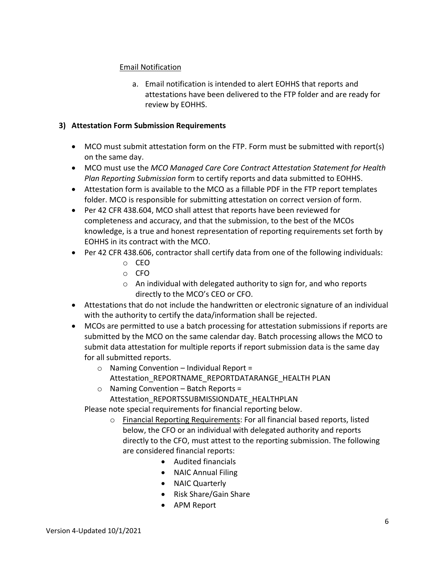#### Email Notification

a. Email notification is intended to alert EOHHS that reports and attestations have been delivered to the FTP folder and are ready for review by EOHHS.

#### **3) Attestation Form Submission Requirements**

- MCO must submit attestation form on the FTP. Form must be submitted with report(s) on the same day.
- MCO must use the *MCO Managed Care Core Contract Attestation Statement for Health Plan Reporting Submission* form to certify reports and data submitted to EOHHS.
- Attestation form is available to the MCO as a fillable PDF in the FTP report templates folder. MCO is responsible for submitting attestation on correct version of form.
- Per 42 CFR [438.604,](https://www.gpo.gov/fdsys/pkg/CFR-2011-title42-vol4/pdf/CFR-2011-title42-vol4-part438.pdf) MCO shall attest that reports have been reviewed for completeness and accuracy, and that the submission, to the best of the MCOs knowledge, is a true and honest representation of reporting requirements set forth by EOHHS in its contract with the MCO.
- Per 42 CFR [438.606,](https://www.gpo.gov/fdsys/pkg/CFR-2011-title42-vol4/pdf/CFR-2011-title42-vol4-part438.pdf) contractor shall certify data from one of the following individuals:
	- o CEO
	- o CFO
	- o An individual with delegated authority to sign for, and who reports directly to the MCO's CEO or CFO.
- Attestations that do not include the handwritten or electronic signature of an individual with the authority to certify the data/information shall be rejected.
- MCOs are permitted to use a batch processing for attestation submissions if reports are submitted by the MCO on the same calendar day. Batch processing allows the MCO to submit data attestation for multiple reports if report submission data is the same day for all submitted reports.
	- $\circ$  Naming Convention Individual Report = Attestation\_REPORTNAME\_REPORTDATARANGE\_HEALTH PLAN
	- o Naming Convention Batch Reports = Attestation\_REPORTSSUBMISSIONDATE\_HEALTHPLAN

Please note special requirements for financial reporting below.

- o Financial Reporting Requirements: For all financial based reports, listed below, the CFO or an individual with delegated authority and reports directly to the CFO, must attest to the reporting submission. The following are considered financial reports:
	- Audited financials
	- NAIC Annual Filing
	- NAIC Quarterly
	- Risk Share/Gain Share
	- APM Report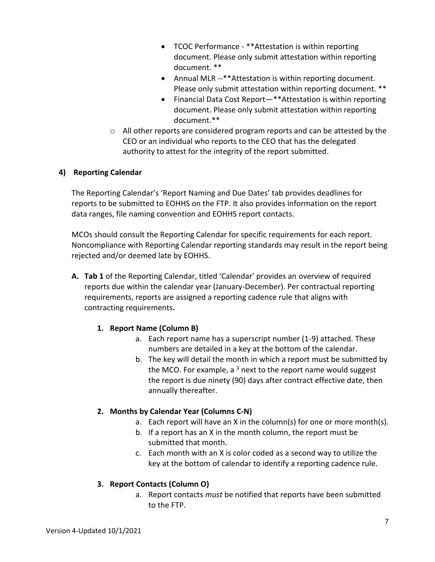- TCOC Performance \*\*Attestation is within reporting document. Please only submit attestation within reporting document. \*\*
- Annual MLR --\*\*Attestation is within reporting document. Please only submit attestation within reporting document. \*\*
- Financial Data Cost Report—\*\*Attestation is within reporting document. Please only submit attestation within reporting document.\*\*
- $\circ$  All other reports are considered program reports and can be attested by the CEO or an individual who reports to the CEO that has the delegated authority to attest for the integrity of the report submitted.

#### **4) Reporting Calendar**

The Reporting Calendar's 'Report Naming and Due Dates' tab provides deadlines for reports to be submitted to EOHHS on the FTP. It also provides information on the report data ranges, file naming convention and EOHHS report contacts.

MCOs should consult the Reporting Calendar for specific requirements for each report. Noncompliance with Reporting Calendar reporting standards may result in the report being rejected and/or deemed late by EOHHS.

**A. Tab 1** of the Reporting Calendar, titled 'Calendar' provides an overview of required reports due within the calendar year (January-December). Per contractual reporting requirements, reports are assigned a reporting cadence rule that aligns with contracting requirements**.**

#### **1. Report Name (Column B)**

- a. Each report name has a superscript number (1-9) attached. These numbers are detailed in a key at the bottom of the calendar.
- b. The key will detail the month in which a report must be submitted by the MCO. For example, a  $3$  next to the report name would suggest the report is due ninety (90) days after contract effective date, then annually thereafter.

#### **2. Months by Calendar Year (Columns C-N)**

- a. Each report will have an X in the column(s) for one or more month(s).
- b. If a report has an X in the month column, the report must be submitted that month.
- c. Each month with an X is color coded as a second way to utilize the key at the bottom of calendar to identify a reporting cadence rule.

#### **3. Report Contacts (Column O)**

a. Report contacts *must* be notified that reports have been submitted to the FTP.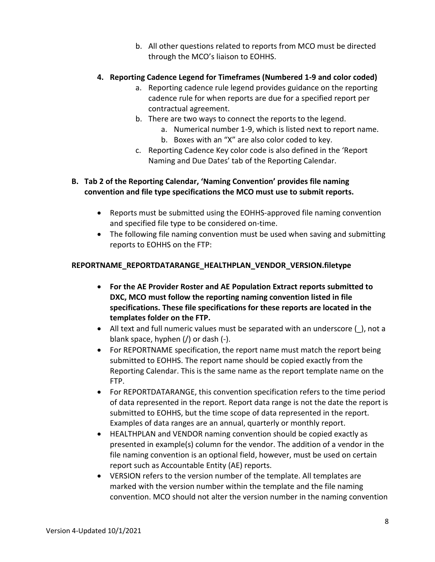b. All other questions related to reports from MCO must be directed through the MCO's liaison to EOHHS.

#### **4. Reporting Cadence Legend for Timeframes (Numbered 1-9 and color coded)**

- a. Reporting cadence rule legend provides guidance on the reporting cadence rule for when reports are due for a specified report per contractual agreement.
- b. There are two ways to connect the reports to the legend.
	- a. Numerical number 1-9, which is listed next to report name.
	- b. Boxes with an "X" are also color coded to key.
- c. Reporting Cadence Key color code is also defined in the 'Report Naming and Due Dates' tab of the Reporting Calendar.

#### **B. Tab 2 of the Reporting Calendar, 'Naming Convention' provides file naming convention and file type specifications the MCO must use to submit reports.**

- Reports must be submitted using the EOHHS-approved file naming convention and specified file type to be considered on-time.
- The following file naming convention must be used when saving and submitting reports to EOHHS on the FTP:

#### **REPORTNAME\_REPORTDATARANGE\_HEALTHPLAN\_VENDOR\_VERSION.filetype**

- **For the AE Provider Roster and AE Population Extract reports submitted to DXC, MCO must follow the reporting naming convention listed in file specifications. These file specifications for these reports are located in the templates folder on the FTP.**
- All text and full numeric values must be separated with an underscore (), not a blank space, hyphen (/) or dash (-).
- For REPORTNAME specification, the report name must match the report being submitted to EOHHS. The report name should be copied exactly from the Reporting Calendar. This is the same name as the report template name on the FTP.
- For REPORTDATARANGE, this convention specification refers to the time period of data represented in the report. Report data range is not the date the report is submitted to EOHHS, but the time scope of data represented in the report. Examples of data ranges are an annual, quarterly or monthly report.
- HEALTHPLAN and VENDOR naming convention should be copied exactly as presented in example(s) column for the vendor. The addition of a vendor in the file naming convention is an optional field, however, must be used on certain report such as Accountable Entity (AE) reports.
- VERSION refers to the version number of the template. All templates are marked with the version number within the template and the file naming convention. MCO should not alter the version number in the naming convention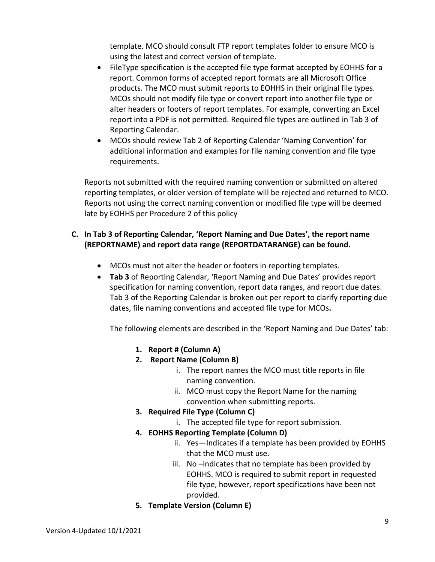template. MCO should consult FTP report templates folder to ensure MCO is using the latest and correct version of template.

- FileType specification is the accepted file type format accepted by EOHHS for a report. Common forms of accepted report formats are all Microsoft Office products. The MCO must submit reports to EOHHS in their original file types. MCOs should not modify file type or convert report into another file type or alter headers or footers of report templates. For example, converting an Excel report into a PDF is not permitted. Required file types are outlined in Tab 3 of Reporting Calendar.
- MCOs should review Tab 2 of Reporting Calendar 'Naming Convention' for additional information and examples for file naming convention and file type requirements.

Reports not submitted with the required naming convention or submitted on altered reporting templates, or older version of template will be rejected and returned to MCO. Reports not using the correct naming convention or modified file type will be deemed late by EOHHS per Procedure 2 of this policy

#### **C. In Tab 3 of Reporting Calendar, 'Report Naming and Due Dates', the report name (REPORTNAME) and report data range (REPORTDATARANGE) can be found.**

- MCOs must not alter the header or footers in reporting templates.
- **Tab 3** of Reporting Calendar, 'Report Naming and Due Dates' provides report specification for naming convention, report data ranges, and report due dates. Tab 3 of the Reporting Calendar is broken out per report to clarify reporting due dates, file naming conventions and accepted file type for MCOs**.**

The following elements are described in the 'Report Naming and Due Dates' tab:

- **1. Report # (Column A)**
- **2. Report Name (Column B)**
	- i. The report names the MCO must title reports in file naming convention.
	- ii. MCO must copy the Report Name for the naming convention when submitting reports.
- **3. Required File Type (Column C)**
	- i. The accepted file type for report submission.
- **4. EOHHS Reporting Template (Column D)**
	- ii. Yes—Indicates if a template has been provided by EOHHS that the MCO must use.
	- iii. No –indicates that no template has been provided by EOHHS. MCO is required to submit report in requested file type, however, report specifications have been not provided.
- **5. Template Version (Column E)**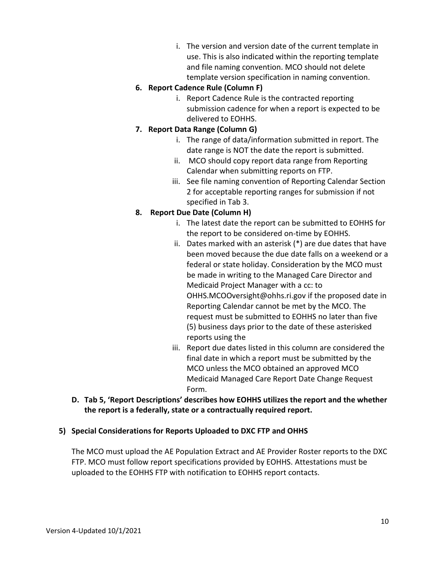i. The version and version date of the current template in use. This is also indicated within the reporting template and file naming convention. MCO should not delete template version specification in naming convention.

#### **6. Report Cadence Rule (Column F)**

i. Report Cadence Rule is the contracted reporting submission cadence for when a report is expected to be delivered to EOHHS.

#### **7. Report Data Range (Column G)**

- i. The range of data/information submitted in report. The date range is NOT the date the report is submitted.
- ii. MCO should copy report data range from Reporting Calendar when submitting reports on FTP.
- iii. See file naming convention of Reporting Calendar Section 2 for acceptable reporting ranges for submission if not specified in Tab 3.

#### **8. Report Due Date (Column H)**

- i. The latest date the report can be submitted to EOHHS for the report to be considered on-time by EOHHS.
- ii. Dates marked with an asterisk (\*) are due dates that have been moved because the due date falls on a weekend or a federal or state holiday. Consideration by the MCO must be made in writing to the Managed Care Director and Medicaid Project Manager with a cc: to [OHHS.MCOOversight@ohhs.ri.gov](mailto:OHHS.MCOOversight@ohhs.ri.gov) if the proposed date in Reporting Calendar cannot be met by the MCO. The request must be submitted to EOHHS no later than five (5) business days prior to the date of these asterisked reports using the
- iii. Report due dates listed in this column are considered the final date in which a report must be submitted by the MCO unless the MCO obtained an approved MCO Medicaid Managed Care Report Date Change Request Form.
- **D. Tab 5, 'Report Descriptions' describes how EOHHS utilizes the report and the whether the report is a federally, state or a contractually required report.**

#### **5) Special Considerations for Reports Uploaded to DXC FTP and OHHS**

The MCO must upload the AE Population Extract and AE Provider Roster reports to the DXC FTP. MCO must follow report specifications provided by EOHHS. Attestations must be uploaded to the EOHHS FTP with notification to EOHHS report contacts.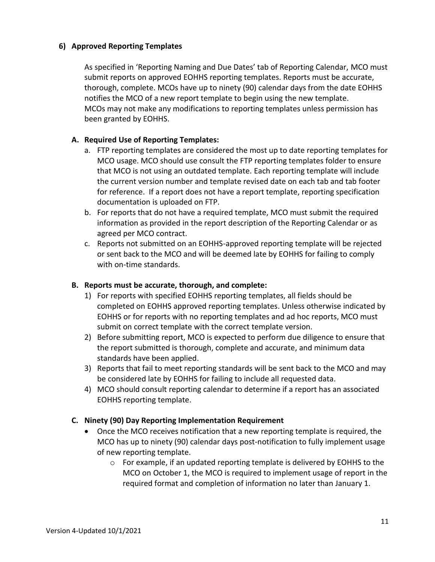#### **6) Approved Reporting Templates**

As specified in 'Reporting Naming and Due Dates' tab of Reporting Calendar, MCO must submit reports on approved EOHHS reporting templates. Reports must be accurate, thorough, complete. MCOs have up to ninety (90) calendar days from the date EOHHS notifies the MCO of a new report template to begin using the new template. MCOs may not make any modifications to reporting templates unless permission has been granted by EOHHS.

#### **A. Required Use of Reporting Templates:**

- a. FTP reporting templates are considered the most up to date reporting templates for MCO usage. MCO should use consult the FTP reporting templates folder to ensure that MCO is not using an outdated template. Each reporting template will include the current version number and template revised date on each tab and tab footer for reference. If a report does not have a report template, reporting specification documentation is uploaded on FTP.
- b. For reports that do not have a required template, MCO must submit the required information as provided in the report description of the Reporting Calendar or as agreed per MCO contract.
- c. Reports not submitted on an EOHHS-approved reporting template will be rejected or sent back to the MCO and will be deemed late by EOHHS for failing to comply with on-time standards.

#### **B. Reports must be accurate, thorough, and complete:**

- 1) For reports with specified EOHHS reporting templates, all fields should be completed on EOHHS approved reporting templates. Unless otherwise indicated by EOHHS or for reports with no reporting templates and ad hoc reports, MCO must submit on correct template with the correct template version.
- 2) Before submitting report, MCO is expected to perform due diligence to ensure that the report submitted is thorough, complete and accurate, and minimum data standards have been applied.
- 3) Reports that fail to meet reporting standards will be sent back to the MCO and may be considered late by EOHHS for failing to include all requested data.
- 4) MCO should consult reporting calendar to determine if a report has an associated EOHHS reporting template.

#### **C. Ninety (90) Day Reporting Implementation Requirement**

- Once the MCO receives notification that a new reporting template is required, the MCO has up to ninety (90) calendar days post-notification to fully implement usage of new reporting template.
	- $\circ$  For example, if an updated reporting template is delivered by EOHHS to the MCO on October 1, the MCO is required to implement usage of report in the required format and completion of information no later than January 1.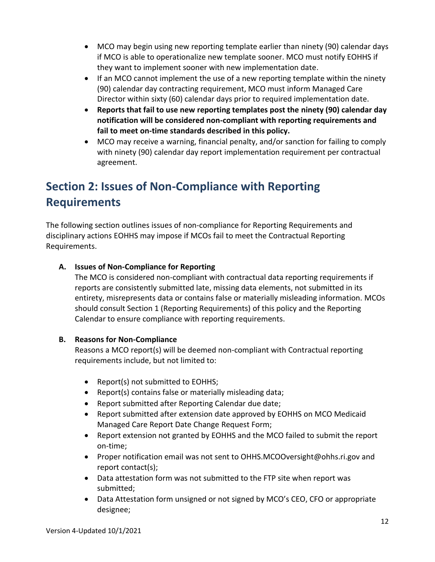- MCO may begin using new reporting template earlier than ninety (90) calendar days if MCO is able to operationalize new template sooner. MCO must notify EOHHS if they want to implement sooner with new implementation date.
- If an MCO cannot implement the use of a new reporting template within the ninety (90) calendar day contracting requirement, MCO must inform Managed Care Director within sixty (60) calendar days prior to required implementation date.
- **Reports that fail to use new reporting templates post the ninety (90) calendar day notification will be considered non-compliant with reporting requirements and fail to meet on-time standards described in this policy.**
- MCO may receive a warning, financial penalty, and/or sanction for failing to comply with ninety (90) calendar day report implementation requirement per contractual agreement.

## **Section 2: Issues of Non-Compliance with Reporting Requirements**

The following section outlines issues of non-compliance for Reporting Requirements and disciplinary actions EOHHS may impose if MCOs fail to meet the Contractual Reporting Requirements.

#### **A. Issues of Non-Compliance for Reporting**

The MCO is considered non-compliant with contractual data reporting requirements if reports are consistently submitted late, missing data elements, not submitted in its entirety, misrepresents data or contains false or materially misleading information. MCOs should consult Section 1 (Reporting Requirements) of this policy and the Reporting Calendar to ensure compliance with reporting requirements.

#### **B. Reasons for Non-Compliance**

Reasons a MCO report(s) will be deemed non-compliant with Contractual reporting requirements include, but not limited to:

- Report(s) not submitted to EOHHS;
- Report(s) contains false or materially misleading data;
- Report submitted after Reporting Calendar due date;
- Report submitted after extension date approved by EOHHS on MCO Medicaid Managed Care Report Date Change Request Form;
- Report extension not granted by EOHHS and the MCO failed to submit the report on-time;
- Proper notification email was not sent to [OHHS.MCOOversight@ohhs.ri.gov](mailto:OHHS.MCOOversight@ohhs.ri.gov) and report contact(s);
- Data attestation form was not submitted to the FTP site when report was submitted;
- Data Attestation form unsigned or not signed by MCO's CEO, CFO or appropriate designee;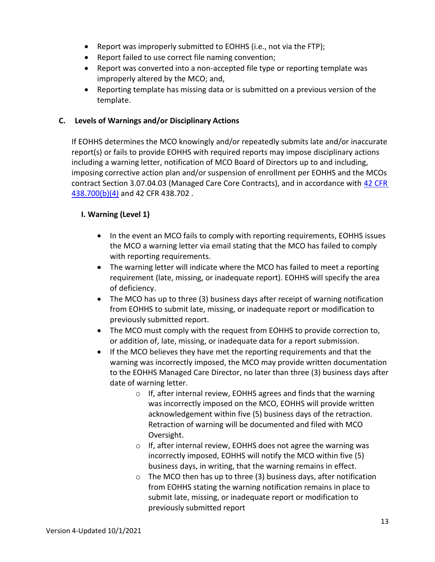- Report was improperly submitted to EOHHS (i.e., not via the FTP);
- Report failed to use correct file naming convention;
- Report was converted into a non-accepted file type or reporting template was improperly altered by the MCO; and,
- Reporting template has missing data or is submitted on a previous version of the template.

#### **C. Levels of Warnings and/or Disciplinary Actions**

If EOHHS determines the MCO knowingly and/or repeatedly submits late and/or inaccurate report(s) or fails to provide EOHHS with required reports may impose disciplinary actions including a warning letter, notification of MCO Board of Directors up to and including, imposing corrective action plan and/or suspension of enrollment per EOHHS and the MCOs contract Section 3.07.04.03 (Managed Care Core Contracts), and in accordance with [42 CFR](https://www.gpo.gov/fdsys/pkg/CFR-2011-title42-vol4/pdf/CFR-2011-title42-vol4-part438.pdf)  [438.700\(](https://www.gpo.gov/fdsys/pkg/CFR-2011-title42-vol4/pdf/CFR-2011-title42-vol4-part438.pdf)b)(4) and 42 CFR 438.702.

#### **I. Warning (Level 1)**

- In the event an MCO fails to comply with reporting requirements, EOHHS issues the MCO a warning letter via email stating that the MCO has failed to comply with reporting requirements.
- The warning letter will indicate where the MCO has failed to meet a reporting requirement (late, missing, or inadequate report). EOHHS will specify the area of deficiency.
- The MCO has up to three (3) business days after receipt of warning notification from EOHHS to submit late, missing, or inadequate report or modification to previously submitted report.
- The MCO must comply with the request from EOHHS to provide correction to, or addition of, late, missing, or inadequate data for a report submission.
- If the MCO believes they have met the reporting requirements and that the warning was incorrectly imposed, the MCO may provide written documentation to the EOHHS Managed Care Director, no later than three (3) business days after date of warning letter.
	- o If, after internal review, EOHHS agrees and finds that the warning was incorrectly imposed on the MCO, EOHHS will provide written acknowledgement within five (5) business days of the retraction. Retraction of warning will be documented and filed with MCO Oversight.
	- o If, after internal review, EOHHS does not agree the warning was incorrectly imposed, EOHHS will notify the MCO within five (5) business days, in writing, that the warning remains in effect.
	- o The MCO then has up to three (3) business days, after notification from EOHHS stating the warning notification remains in place to submit late, missing, or inadequate report or modification to previously submitted report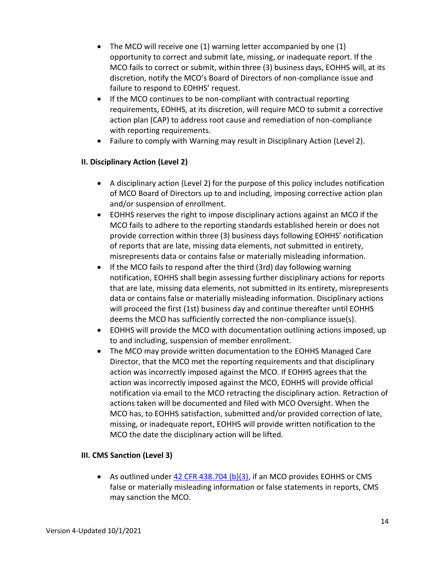- The MCO will receive one (1) warning letter accompanied by one (1) opportunity to correct and submit late, missing, or inadequate report. If the MCO fails to correct or submit, within three (3) business days, EOHHS will, at its discretion, notify the MCO's Board of Directors of non-compliance issue and failure to respond to EOHHS' request.
- If the MCO continues to be non-compliant with contractual reporting requirements, EOHHS, at its discretion, will require MCO to submit a corrective action plan (CAP) to address root cause and remediation of non-compliance with reporting requirements.
- Failure to comply with Warning may result in Disciplinary Action (Level 2).

#### **II. Disciplinary Action (Level 2)**

- A disciplinary action (Level 2) for the purpose of this policy includes notification of MCO Board of Directors up to and including, imposing corrective action plan and/or suspension of enrollment.
- EOHHS reserves the right to impose disciplinary actions against an MCO if the MCO fails to adhere to the reporting standards established herein or does not provide correction within three (3) business days following EOHHS' notification of reports that are late, missing data elements, not submitted in entirety, misrepresents data or contains false or materially misleading information.
- If the MCO fails to respond after the third (3rd) day following warning notification, EOHHS shall begin assessing further disciplinary actions for reports that are late, missing data elements, not submitted in its entirety, misrepresents data or contains false or materially misleading information. Disciplinary actions will proceed the first (1st) business day and continue thereafter until EOHHS deems the MCO has sufficiently corrected the non-compliance issue(s).
- EOHHS will provide the MCO with documentation outlining actions imposed, up to and including, suspension of member enrollment.
- The MCO may provide written documentation to the EOHHS Managed Care Director, that the MCO met the reporting requirements and that disciplinary action was incorrectly imposed against the MCO. If EOHHS agrees that the action was incorrectly imposed against the MCO, EOHHS will provide official notification via email to the MCO retracting the disciplinary action. Retraction of actions taken will be documented and filed with MCO Oversight. When the MCO has, to EOHHS satisfaction, submitted and/or provided correction of late, missing, or inadequate report, EOHHS will provide written notification to the MCO the date the disciplinary action will be lifted.

#### **III. CMS Sanction (Level 3)**

• As outlined under [42 CFR 438.704 \(b\)\(3\),](https://www.law.cornell.edu/cfr/text/42/438.702) if an MCO provides EOHHS or CMS false or materially misleading information or false statements in reports, CMS may sanction the MCO.